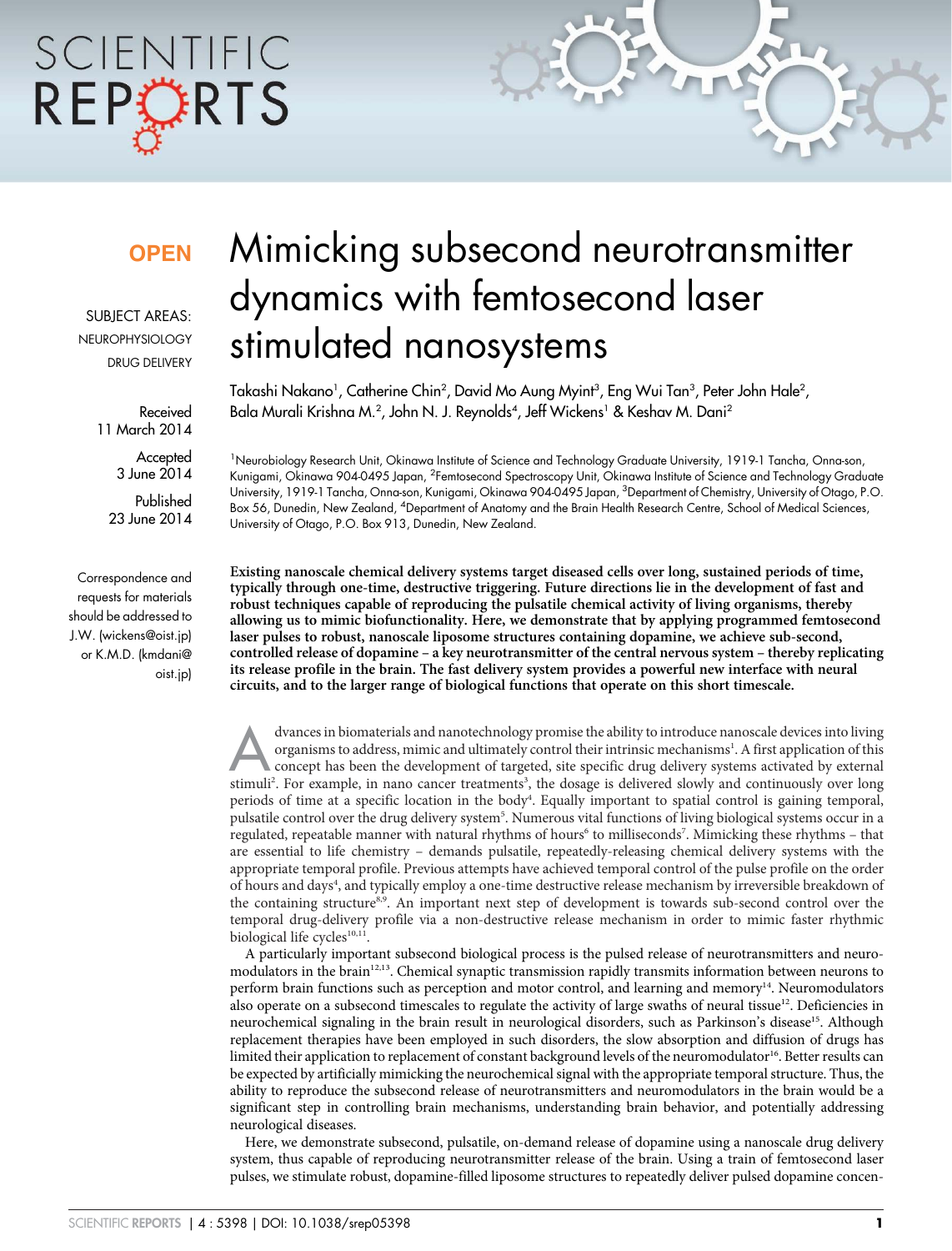# SCIENTIFIC REPORTS

### **OPFN**

SUBJECT AREAS: **NEUROPHYSIOLOGY** DRUG DELIVERY

> Received 11 March 2014

> > **Accepted** 3 June 2014

Published 23 June 2014

Correspondence and requests for materials should be addressed to J.W. (wickens@oist.jp) or K.M.D. (kmdani@ oist.jp)

## Mimicking subsecond neurotransmitter dynamics with femtosecond laser stimulated nanosystems

Takashi Nakano', Catherine Chin<sup>2</sup>, David Mo Aung Myint<sup>3</sup>, Eng Wui Tan<sup>3</sup>, Peter John Hale<sup>2</sup>, Bala Murali Krishna M.<sup>2</sup>, John N. J. Reynolds<sup>4</sup>, Jeff Wickens<sup>1</sup> & Keshav M. Dani<sup>2</sup>

<sup>1</sup>Neurobiology Research Unit, Okinawa Institute of Science and Technology Graduate University, 1919-1 Tancha, Onna-son, Kunigami, Okinawa 904-0495 Japan, <sup>2</sup>Femtosecond Spectroscopy Unit, Okinawa Institute of Science and Technology Graduate University, 1919-1 Tancha, Onna-son, Kunigami, Okinawa 904-0495 Japan, <sup>3</sup>Department of Chemistry, University of Otago, P.O. Box 56, Dunedin, New Zealand, <sup>4</sup>Department of Anatomy and the Brain Health Research Centre, School of Medical Sciences, University of Otago, P.O. Box 913, Dunedin, New Zealand.

Existing nanoscale chemical delivery systems target diseased cells over long, sustained periods of time, typically through one-time, destructive triggering. Future directions lie in the development of fast and robust techniques capable of reproducing the pulsatile chemical activity of living organisms, thereby allowing us to mimic biofunctionality. Here, we demonstrate that by applying programmed femtosecond laser pulses to robust, nanoscale liposome structures containing dopamine, we achieve sub-second, controlled release of dopamine – a key neurotransmitter of the central nervous system – thereby replicating its release profile in the brain. The fast delivery system provides a powerful new interface with neural circuits, and to the larger range of biological functions that operate on this short timescale.

dvances in biomaterials and nanotechnology promise the ability to introduce nanoscale devices into living organisms to address, mimic and ultimately control their intrinsic mechanisms<sup>1</sup>. A first application of this concep dvances in biomaterials and nanotechnology promise the ability to introduce nanoscale devices into living organisms to address, mimic and ultimately control their intrinsic mechanisms<sup>1</sup>. A first application of this concept has been the development of targeted, site specific drug delivery systems activated by external periods of time at a specific location in the body<sup>4</sup>. Equally important to spatial control is gaining temporal, pulsatile control over the drug delivery system<sup>5</sup>. Numerous vital functions of living biological systems occur in a regulated, repeatable manner with natural rhythms of hours<sup>6</sup> to milliseconds<sup>7</sup>. Mimicking these rhythms – that are essential to life chemistry – demands pulsatile, repeatedly-releasing chemical delivery systems with the appropriate temporal profile. Previous attempts have achieved temporal control of the pulse profile on the order of hours and days<sup>4</sup>, and typically employ a one-time destructive release mechanism by irreversible breakdown of the containing structure<sup>8,9</sup>. An important next step of development is towards sub-second control over the temporal drug-delivery profile via a non-destructive release mechanism in order to mimic faster rhythmic biological life cycles<sup>10,11</sup>.

A particularly important subsecond biological process is the pulsed release of neurotransmitters and neuromodulators in the brain<sup>12,13</sup>. Chemical synaptic transmission rapidly transmits information between neurons to perform brain functions such as perception and motor control, and learning and memory<sup>14</sup>. Neuromodulators also operate on a subsecond timescales to regulate the activity of large swaths of neural tissue<sup>12</sup>. Deficiencies in neurochemical signaling in the brain result in neurological disorders, such as Parkinson's disease<sup>15</sup>. Although replacement therapies have been employed in such disorders, the slow absorption and diffusion of drugs has limited their application to replacement of constant background levels of the neuromodulator<sup>16</sup>. Better results can be expected by artificially mimicking the neurochemical signal with the appropriate temporal structure. Thus, the ability to reproduce the subsecond release of neurotransmitters and neuromodulators in the brain would be a significant step in controlling brain mechanisms, understanding brain behavior, and potentially addressing neurological diseases.

Here, we demonstrate subsecond, pulsatile, on-demand release of dopamine using a nanoscale drug delivery system, thus capable of reproducing neurotransmitter release of the brain. Using a train of femtosecond laser pulses, we stimulate robust, dopamine-filled liposome structures to repeatedly deliver pulsed dopamine concen-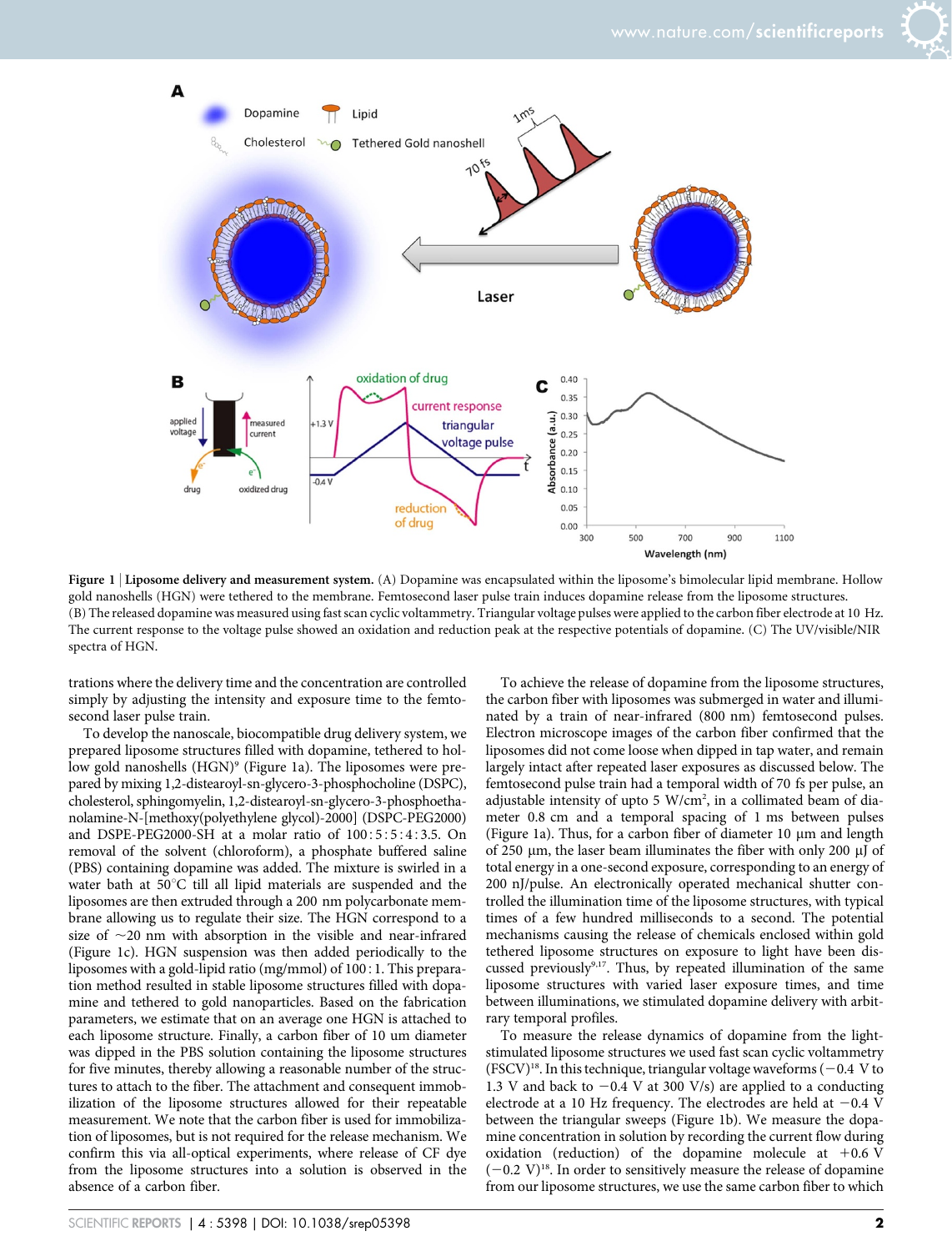



Figure 1 | Liposome delivery and measurement system. (A) Dopamine was encapsulated within the liposome's bimolecular lipid membrane. Hollow gold nanoshells (HGN) were tethered to the membrane. Femtosecond laser pulse train induces dopamine release from the liposome structures. (B) The released dopamine was measured using fast scan cyclic voltammetry. Triangular voltage pulses were applied to the carbon fiber electrode at 10 Hz. The current response to the voltage pulse showed an oxidation and reduction peak at the respective potentials of dopamine. (C) The UV/visible/NIR spectra of HGN.

trations where the delivery time and the concentration are controlled simply by adjusting the intensity and exposure time to the femtosecond laser pulse train.

To develop the nanoscale, biocompatible drug delivery system, we prepared liposome structures filled with dopamine, tethered to hollow gold nanoshells (HGN)<sup>9</sup> (Figure 1a). The liposomes were prepared by mixing 1,2-distearoyl-sn-glycero-3-phosphocholine (DSPC), cholesterol, sphingomyelin, 1,2-distearoyl-sn-glycero-3-phosphoethanolamine-N-[methoxy(polyethylene glycol)-2000] (DSPC-PEG2000) and DSPE-PEG2000-SH at a molar ratio of  $100:5:5:4:3.5$ . On removal of the solvent (chloroform), a phosphate buffered saline (PBS) containing dopamine was added. The mixture is swirled in a water bath at  $50^{\circ}$ C till all lipid materials are suspended and the liposomes are then extruded through a 200 nm polycarbonate membrane allowing us to regulate their size. The HGN correspond to a size of  $\sim$ 20 nm with absorption in the visible and near-infrared (Figure 1c). HGN suspension was then added periodically to the liposomes with a gold-lipid ratio (mg/mmol) of 100:1. This preparation method resulted in stable liposome structures filled with dopamine and tethered to gold nanoparticles. Based on the fabrication parameters, we estimate that on an average one HGN is attached to each liposome structure. Finally, a carbon fiber of 10 um diameter was dipped in the PBS solution containing the liposome structures for five minutes, thereby allowing a reasonable number of the structures to attach to the fiber. The attachment and consequent immobilization of the liposome structures allowed for their repeatable measurement. We note that the carbon fiber is used for immobilization of liposomes, but is not required for the release mechanism. We confirm this via all-optical experiments, where release of CF dye from the liposome structures into a solution is observed in the absence of a carbon fiber.

To achieve the release of dopamine from the liposome structures, the carbon fiber with liposomes was submerged in water and illuminated by a train of near-infrared (800 nm) femtosecond pulses. Electron microscope images of the carbon fiber confirmed that the liposomes did not come loose when dipped in tap water, and remain largely intact after repeated laser exposures as discussed below. The femtosecond pulse train had a temporal width of 70 fs per pulse, an adjustable intensity of upto 5  $W/cm<sup>2</sup>$ , in a collimated beam of diameter 0.8 cm and a temporal spacing of 1 ms between pulses (Figure 1a). Thus, for a carbon fiber of diameter 10  $\mu$ m and length of 250  $\mu$ m, the laser beam illuminates the fiber with only 200  $\mu$ J of total energy in a one-second exposure, corresponding to an energy of 200 nJ/pulse. An electronically operated mechanical shutter controlled the illumination time of the liposome structures, with typical times of a few hundred milliseconds to a second. The potential mechanisms causing the release of chemicals enclosed within gold tethered liposome structures on exposure to light have been discussed previously<sup>9,17</sup>. Thus, by repeated illumination of the same liposome structures with varied laser exposure times, and time between illuminations, we stimulated dopamine delivery with arbitrary temporal profiles.

To measure the release dynamics of dopamine from the lightstimulated liposome structures we used fast scan cyclic voltammetry  $(FSCV)^{18}$ . In this technique, triangular voltage waveforms (-0.4 V to 1.3 V and back to  $-0.4$  V at 300 V/s) are applied to a conducting electrode at a 10 Hz frequency. The electrodes are held at  $-0.4$  V between the triangular sweeps (Figure 1b). We measure the dopamine concentration in solution by recording the current flow during oxidation (reduction) of the dopamine molecule at  $+0.6$  V  $(-0.2 \text{ V})^{18}$ . In order to sensitively measure the release of dopamine from our liposome structures, we use the same carbon fiber to which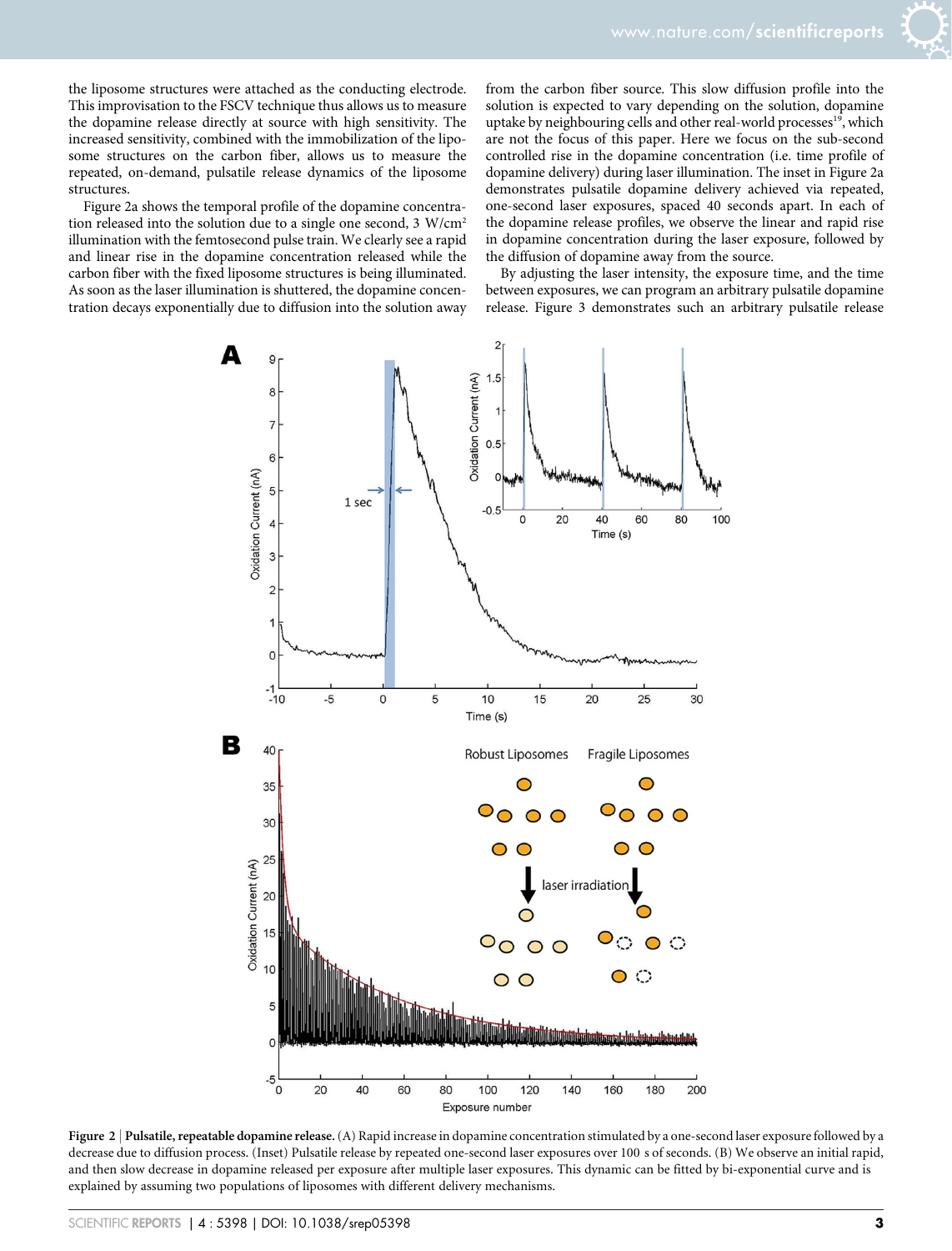the liposome structures were attached as the conducting electrode. This improvisation to the FSCV technique thus allows us to measure the dopamine release directly at source with high sensitivity. The increased sensitivity, combined with the immobilization of the liposome structures on the carbon fiber, allows us to measure the repeated, on-demand, pulsatile release dynamics of the liposome structures.

Figure 2a shows the temporal profile of the dopamine concentration released into the solution due to a single one second, 3 W/cm<sup>2</sup> illumination with the femtosecond pulse train. We clearly see a rapid and linear rise in the dopamine concentration released while the carbon fiber with the fixed liposome structures is being illuminated. As soon as the laser illumination is shuttered, the dopamine concentration decays exponentially due to diffusion into the solution away

from the carbon fiber source. This slow diffusion profile into the solution is expected to vary depending on the solution, dopamine uptake by neighbouring cells and other real-world processes<sup>19</sup>, which are not the focus of this paper. Here we focus on the sub-second controlled rise in the dopamine concentration (i.e. time profile of dopamine delivery) during laser illumination. The inset in Figure 2a demonstrates pulsatile dopamine delivery achieved via repeated, one-second laser exposures, spaced 40 seconds apart. In each of the dopamine release profiles, we observe the linear and rapid rise in dopamine concentration during the laser exposure, followed by the diffusion of dopamine away from the source.

By adjusting the laser intensity, the exposure time, and the time between exposures, we can program an arbitrary pulsatile dopamine release. Figure 3 demonstrates such an arbitrary pulsatile release



Figure 2 | Pulsatile, repeatable dopamine release. (A) Rapid increase in dopamine concentration stimulated by a one-second laser exposure followed by a decrease due to diffusion process. (Inset) Pulsatile release by repeated one-second laser exposures over 100 s of seconds. (B) We observe an initial rapid, and then slow decrease in dopamine released per exposure after multiple laser exposures. This dynamic can be fitted by bi-exponential curve and is explained by assuming two populations of liposomes with different delivery mechanisms.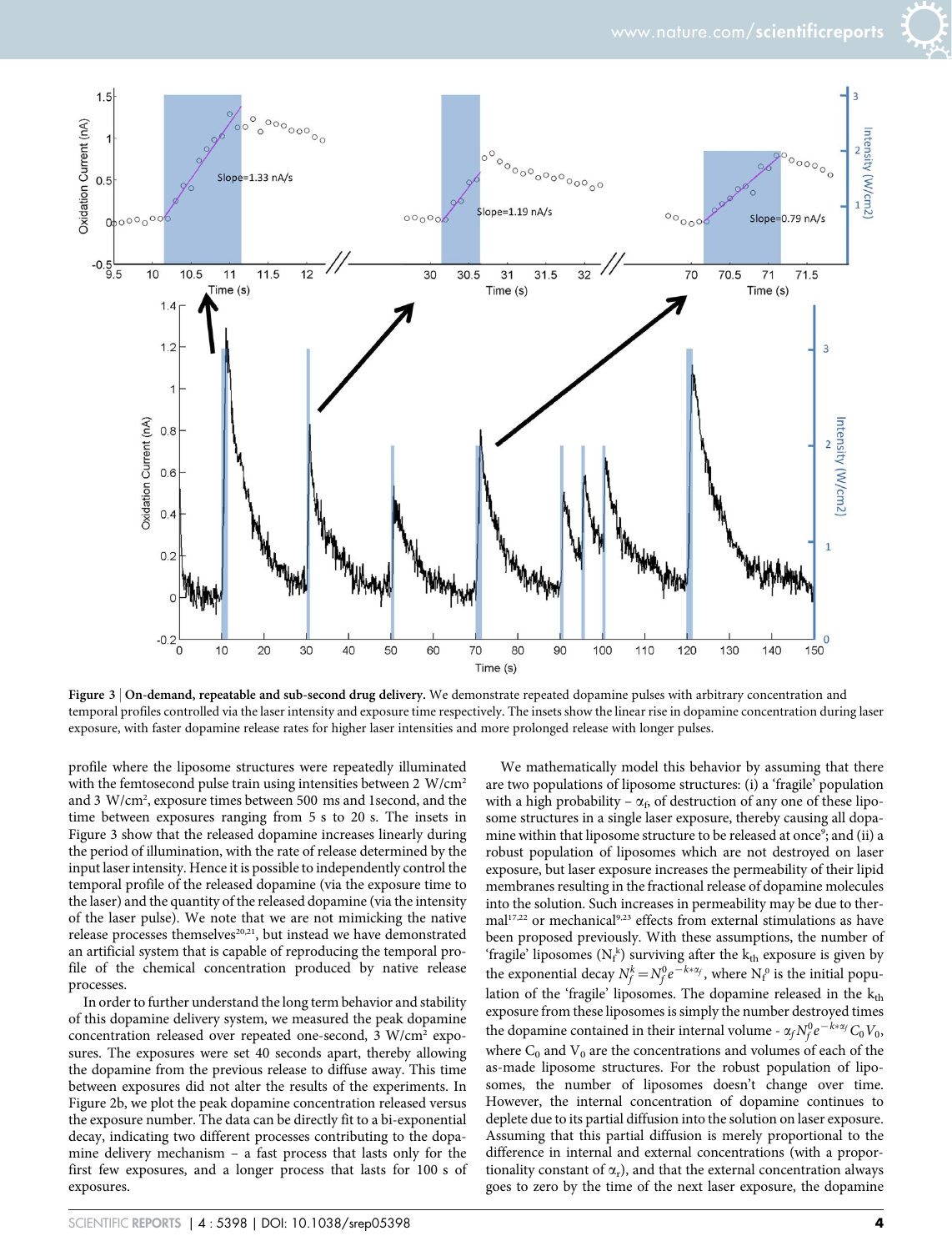

Figure 3 | On-demand, repeatable and sub-second drug delivery. We demonstrate repeated dopamine pulses with arbitrary concentration and temporal profiles controlled via the laser intensity and exposure time respectively. The insets show the linear rise in dopamine concentration during laser exposure, with faster dopamine release rates for higher laser intensities and more prolonged release with longer pulses.

profile where the liposome structures were repeatedly illuminated with the femtosecond pulse train using intensities between 2  $W/cm<sup>2</sup>$ and 3 W/cm<sup>2</sup> , exposure times between 500 ms and 1second, and the time between exposures ranging from 5 s to 20 s. The insets in Figure 3 show that the released dopamine increases linearly during the period of illumination, with the rate of release determined by the input laser intensity. Hence it is possible to independently control the temporal profile of the released dopamine (via the exposure time to the laser) and the quantity of the released dopamine (via the intensity of the laser pulse). We note that we are not mimicking the native release processes themselves<sup>20,21</sup>, but instead we have demonstrated an artificial system that is capable of reproducing the temporal profile of the chemical concentration produced by native release processes.

In order to further understand the long term behavior and stability of this dopamine delivery system, we measured the peak dopamine concentration released over repeated one-second, 3 W/cm<sup>2</sup> exposures. The exposures were set 40 seconds apart, thereby allowing the dopamine from the previous release to diffuse away. This time between exposures did not alter the results of the experiments. In Figure 2b, we plot the peak dopamine concentration released versus the exposure number. The data can be directly fit to a bi-exponential decay, indicating two different processes contributing to the dopamine delivery mechanism – a fast process that lasts only for the first few exposures, and a longer process that lasts for 100 s of exposures.

We mathematically model this behavior by assuming that there are two populations of liposome structures: (i) a 'fragile' population with a high probability –  $\alpha_f$ , of destruction of any one of these liposome structures in a single laser exposure, thereby causing all dopamine within that liposome structure to be released at once<sup>9</sup>; and (ii) a robust population of liposomes which are not destroyed on laser exposure, but laser exposure increases the permeability of their lipid membranes resulting in the fractional release of dopamine molecules into the solution. Such increases in permeability may be due to thermal<sup>17,22</sup> or mechanical<sup>9,23</sup> effects from external stimulations as have been proposed previously. With these assumptions, the number of 'fragile' liposomes  $(N_f^k)$  surviving after the  $k_{th}$  exposure is given by the exponential decay  $N_f^k = N_f^0 e^{-k*\alpha_f}$ , where  $N_f^0$  is the initial population of the 'fragile' liposomes. The dopamine released in the  $k_{th}$ exposure from these liposomes is simply the number destroyed times the dopamine contained in their internal volume -  $\alpha_f N_f^0 e^{-k*\alpha_f} C_0 V_0$ , where  $C_0$  and  $V_0$  are the concentrations and volumes of each of the as-made liposome structures. For the robust population of liposomes, the number of liposomes doesn't change over time. However, the internal concentration of dopamine continues to deplete due to its partial diffusion into the solution on laser exposure. Assuming that this partial diffusion is merely proportional to the difference in internal and external concentrations (with a proportionality constant of  $\alpha_r$ ), and that the external concentration always goes to zero by the time of the next laser exposure, the dopamine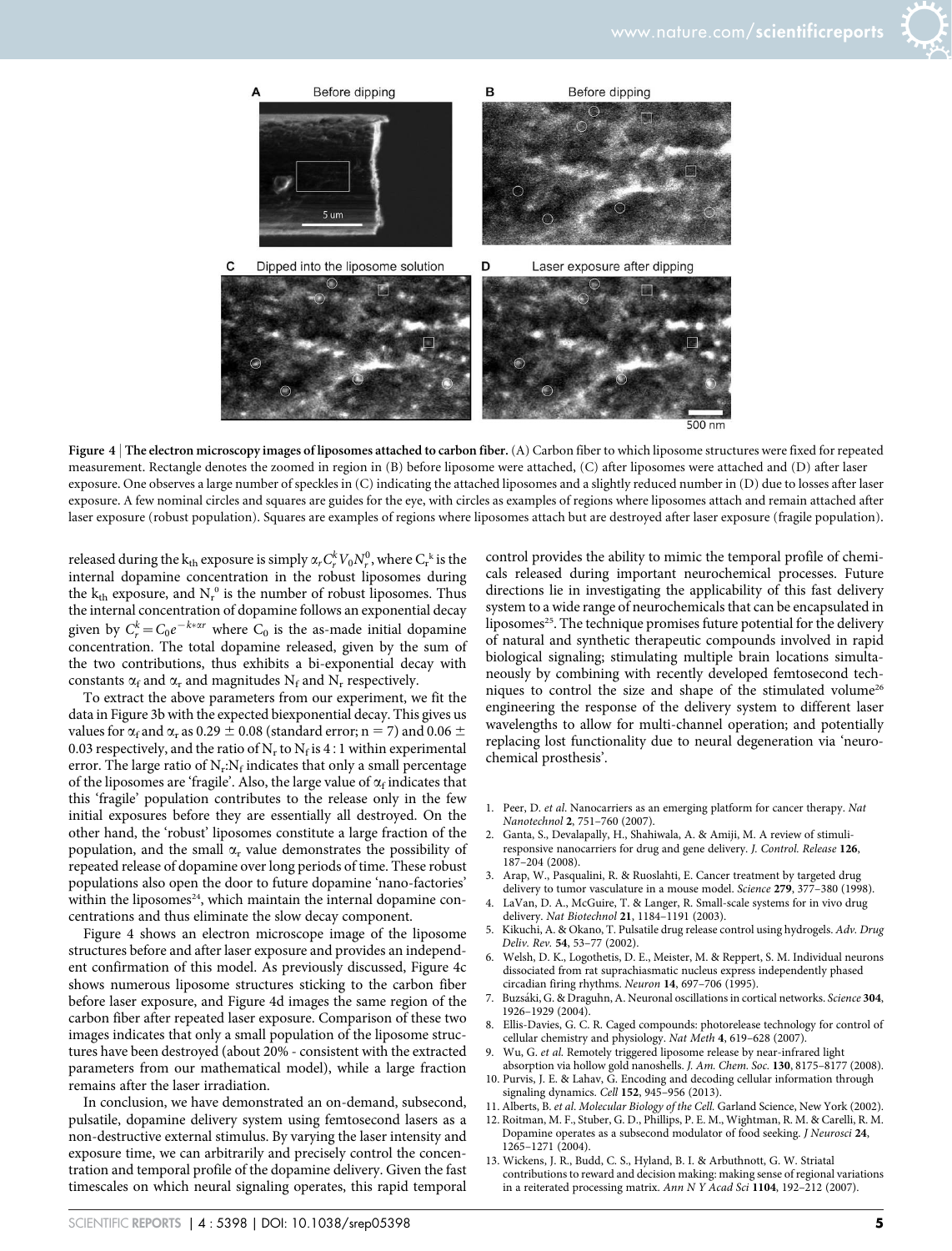



Figure 4 | The electron microscopy images of liposomes attached to carbon fiber. (A) Carbon fiber to which liposome structures were fixed for repeated measurement. Rectangle denotes the zoomed in region in (B) before liposome were attached, (C) after liposomes were attached and (D) after laser exposure. One observes a large number of speckles in (C) indicating the attached liposomes and a slightly reduced number in (D) due to losses after laser exposure. A few nominal circles and squares are guides for the eye, with circles as examples of regions where liposomes attach and remain attached after laser exposure (robust population). Squares are examples of regions where liposomes attach but are destroyed after laser exposure (fragile population).

released during the  ${\rm k_{th}}$  exposure is simply  $\alpha_r C_r^k V_0 N_r^0$ , where  $C_{\rm r}^{\ \ k}$  is the internal dopamine concentration in the robust liposomes during the  $k_{th}$  exposure, and  $N_r^0$  is the number of robust liposomes. Thus the internal concentration of dopamine follows an exponential decay given by  $C_r^k = C_0 e^{-k \times \alpha r}$  where  $C_0$  is the as-made initial dopamine concentration. The total dopamine released, given by the sum of the two contributions, thus exhibits a bi-exponential decay with constants  $\alpha_f$  and  $\alpha_r$  and magnitudes N<sub>f</sub> and N<sub>r</sub> respectively.

To extract the above parameters from our experiment, we fit the data in Figure 3b with the expected biexponential decay. This gives us values for  $\alpha_{\rm f}$  and  $\alpha_{\rm r}$  as 0.29  $\pm$  0.08 (standard error; n = 7) and 0.06  $\pm$ 0.03 respectively, and the ratio of  $N_r$  to  $N_f$  is 4 : 1 within experimental error. The large ratio of  $\rm N_r{:}N_f$  indicates that only a small percentage of the liposomes are 'fragile'. Also, the large value of  $\alpha_{\rm f}$  indicates that this 'fragile' population contributes to the release only in the few initial exposures before they are essentially all destroyed. On the other hand, the 'robust' liposomes constitute a large fraction of the population, and the small  $\alpha_r$  value demonstrates the possibility of repeated release of dopamine over long periods of time. These robust populations also open the door to future dopamine 'nano-factories' within the liposomes<sup>24</sup>, which maintain the internal dopamine concentrations and thus eliminate the slow decay component.

Figure 4 shows an electron microscope image of the liposome structures before and after laser exposure and provides an independent confirmation of this model. As previously discussed, Figure 4c shows numerous liposome structures sticking to the carbon fiber before laser exposure, and Figure 4d images the same region of the carbon fiber after repeated laser exposure. Comparison of these two images indicates that only a small population of the liposome structures have been destroyed (about 20% - consistent with the extracted parameters from our mathematical model), while a large fraction remains after the laser irradiation.

In conclusion, we have demonstrated an on-demand, subsecond, pulsatile, dopamine delivery system using femtosecond lasers as a non-destructive external stimulus. By varying the laser intensity and exposure time, we can arbitrarily and precisely control the concentration and temporal profile of the dopamine delivery. Given the fast timescales on which neural signaling operates, this rapid temporal control provides the ability to mimic the temporal profile of chemicals released during important neurochemical processes. Future directions lie in investigating the applicability of this fast delivery system to a wide range of neurochemicals that can be encapsulated in liposomes<sup>25</sup>. The technique promises future potential for the delivery of natural and synthetic therapeutic compounds involved in rapid biological signaling; stimulating multiple brain locations simultaneously by combining with recently developed femtosecond techniques to control the size and shape of the stimulated volume<sup>26</sup> engineering the response of the delivery system to different laser wavelengths to allow for multi-channel operation; and potentially replacing lost functionality due to neural degeneration via 'neurochemical prosthesis'.

- 1. Peer, D. et al. Nanocarriers as an emerging platform for cancer therapy. Nat Nanotechnol 2, 751–760 (2007).
- 2. Ganta, S., Devalapally, H., Shahiwala, A. & Amiji, M. A review of stimuliresponsive nanocarriers for drug and gene delivery. J. Control. Release 126, 187–204 (2008).
- 3. Arap, W., Pasqualini, R. & Ruoslahti, E. Cancer treatment by targeted drug delivery to tumor vasculature in a mouse model. Science 279, 377–380 (1998).
- 4. LaVan, D. A., McGuire, T. & Langer, R. Small-scale systems for in vivo drug delivery. Nat Biotechnol 21, 1184–1191 (2003).
- 5. Kikuchi, A. & Okano, T. Pulsatile drug release control using hydrogels. Adv. Drug Deliv. Rev. 54, 53–77 (2002).
- 6. Welsh, D. K., Logothetis, D. E., Meister, M. & Reppert, S. M. Individual neurons dissociated from rat suprachiasmatic nucleus express independently phased circadian firing rhythms. Neuron 14, 697-706 (1995).
- 7. Buzsáki, G. & Draguhn, A. Neuronal oscillations in cortical networks. Science 304, 1926–1929 (2004).
- Ellis-Davies, G. C. R. Caged compounds: photorelease technology for control of cellular chemistry and physiology. Nat Meth 4, 619–628 (2007).
- 9. Wu, G. et al. Remotely triggered liposome release by near-infrared light absorption via hollow gold nanoshells. J. Am. Chem. Soc. 130, 8175-8177 (2008).
- 10. Purvis, J. E. & Lahav, G. Encoding and decoding cellular information through signaling dynamics. Cell 152, 945–956 (2013).
- 11. Alberts, B. et al. Molecular Biology of the Cell. Garland Science, New York (2002).
- 12. Roitman, M. F., Stuber, G. D., Phillips, P. E. M., Wightman, R. M. & Carelli, R. M. Dopamine operates as a subsecond modulator of food seeking. J Neurosci 24, 1265–1271 (2004).
- 13. Wickens, J. R., Budd, C. S., Hyland, B. I. & Arbuthnott, G. W. Striatal contributions to reward and decision making: making sense of regional variations in a reiterated processing matrix. Ann N Y Acad Sci 1104, 192–212 (2007).